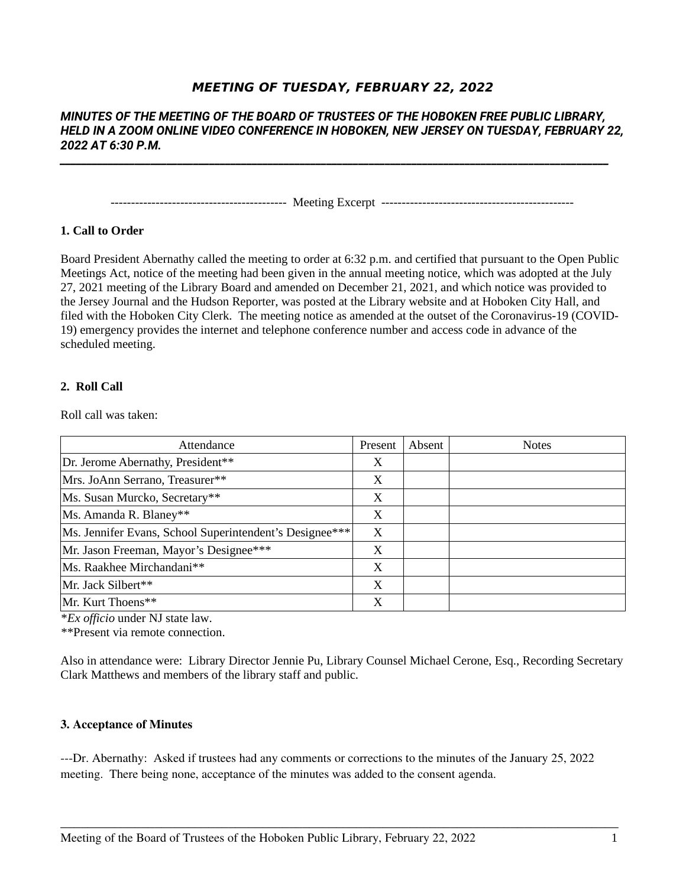# **MEETING OF TUESDAY, FEBRUARY 22, 2022**

# *MINUTES OF THE MEETING OF THE BOARD OF TRUSTEES OF THE HOBOKEN FREE PUBLIC LIBRARY, HELD IN A ZOOM ONLINE VIDEO CONFERENCE IN HOBOKEN, NEW JERSEY ON TUESDAY, FEBRUARY 22, 2022 AT 6:30 P.M.*

*\_\_\_\_\_\_\_\_\_\_\_\_\_\_\_\_\_\_\_\_\_\_\_\_\_\_\_\_\_\_\_\_\_\_\_\_\_\_\_\_\_\_\_\_\_\_\_\_\_\_\_\_\_\_\_\_\_\_\_\_\_\_\_\_\_\_\_\_\_\_\_\_\_\_\_\_\_\_\_\_\_\_\_\_\_\_\_\_\_\_\_\_\_\_\_\_\_\_\_\_\_\_\_*

------------------------------------------- Meeting Excerpt -----------------------------------------------

# **1. Call to Order**

Board President Abernathy called the meeting to order at 6:32 p.m. and certified that pursuant to the Open Public Meetings Act, notice of the meeting had been given in the annual meeting notice, which was adopted at the July 27, 2021 meeting of the Library Board and amended on December 21, 2021, and which notice was provided to the Jersey Journal and the Hudson Reporter, was posted at the Library website and at Hoboken City Hall, and filed with the Hoboken City Clerk. The meeting notice as amended at the outset of the Coronavirus-19 (COVID-19) emergency provides the internet and telephone conference number and access code in advance of the scheduled meeting.

#### **2. Roll Call**

Roll call was taken:

| Attendance                                              | Present | Absent | <b>Notes</b> |
|---------------------------------------------------------|---------|--------|--------------|
| Dr. Jerome Abernathy, President**                       | Χ       |        |              |
| Mrs. JoAnn Serrano, Treasurer**                         | Χ       |        |              |
| Ms. Susan Murcko, Secretary**                           | X       |        |              |
| Ms. Amanda R. Blaney**                                  | X       |        |              |
| Ms. Jennifer Evans, School Superintendent's Designee*** | X       |        |              |
| Mr. Jason Freeman, Mayor's Designee***                  | Χ       |        |              |
| Ms. Raakhee Mirchandani**                               | X       |        |              |
| Mr. Jack Silbert**                                      | X       |        |              |
| Mr. Kurt Thoens**                                       | X       |        |              |

\**Ex officio* under NJ state law.

\*\*Present via remote connection.

Also in attendance were: Library Director Jennie Pu, Library Counsel Michael Cerone, Esq., Recording Secretary Clark Matthews and members of the library staff and public.

#### **3. Acceptance of Minutes**

---Dr. Abernathy: Asked if trustees had any comments or corrections to the minutes of the January 25, 2022 meeting. There being none, acceptance of the minutes was added to the consent agenda.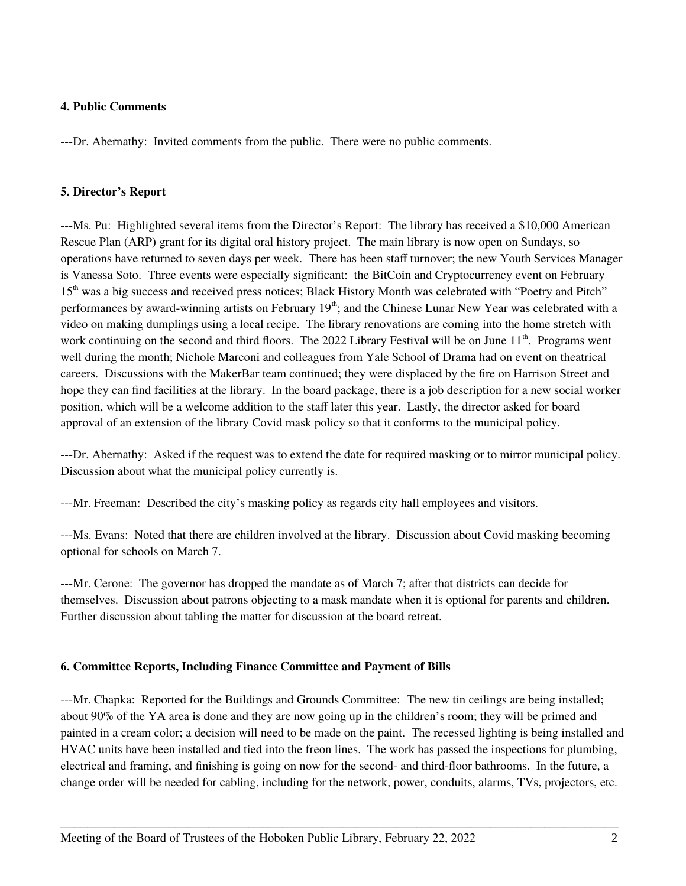## **4. Public Comments**

---Dr. Abernathy: Invited comments from the public. There were no public comments.

#### **5. Director's Report**

---Ms. Pu: Highlighted several items from the Director's Report: The library has received a \$10,000 American Rescue Plan (ARP) grant for its digital oral history project. The main library is now open on Sundays, so operations have returned to seven days per week. There has been staff turnover; the new Youth Services Manager is Vanessa Soto. Three events were especially significant: the BitCoin and Cryptocurrency event on February 15<sup>th</sup> was a big success and received press notices; Black History Month was celebrated with "Poetry and Pitch" performances by award-winning artists on February 19<sup>th</sup>; and the Chinese Lunar New Year was celebrated with a video on making dumplings using a local recipe. The library renovations are coming into the home stretch with work continuing on the second and third floors. The 2022 Library Festival will be on June 11<sup>th</sup>. Programs went well during the month; Nichole Marconi and colleagues from Yale School of Drama had on event on theatrical careers. Discussions with the MakerBar team continued; they were displaced by the fire on Harrison Street and hope they can find facilities at the library. In the board package, there is a job description for a new social worker position, which will be a welcome addition to the staff later this year. Lastly, the director asked for board approval of an extension of the library Covid mask policy so that it conforms to the municipal policy.

---Dr. Abernathy: Asked if the request was to extend the date for required masking or to mirror municipal policy. Discussion about what the municipal policy currently is.

---Mr. Freeman: Described the city's masking policy as regards city hall employees and visitors.

---Ms. Evans: Noted that there are children involved at the library. Discussion about Covid masking becoming optional for schools on March 7.

---Mr. Cerone: The governor has dropped the mandate as of March 7; after that districts can decide for themselves. Discussion about patrons objecting to a mask mandate when it is optional for parents and children. Further discussion about tabling the matter for discussion at the board retreat.

#### **6. Committee Reports, Including Finance Committee and Payment of Bills**

---Mr. Chapka: Reported for the Buildings and Grounds Committee: The new tin ceilings are being installed; about 90% of the YA area is done and they are now going up in the children's room; they will be primed and painted in a cream color; a decision will need to be made on the paint. The recessed lighting is being installed and HVAC units have been installed and tied into the freon lines. The work has passed the inspections for plumbing, electrical and framing, and finishing is going on now for the second- and third-floor bathrooms. In the future, a change order will be needed for cabling, including for the network, power, conduits, alarms, TVs, projectors, etc.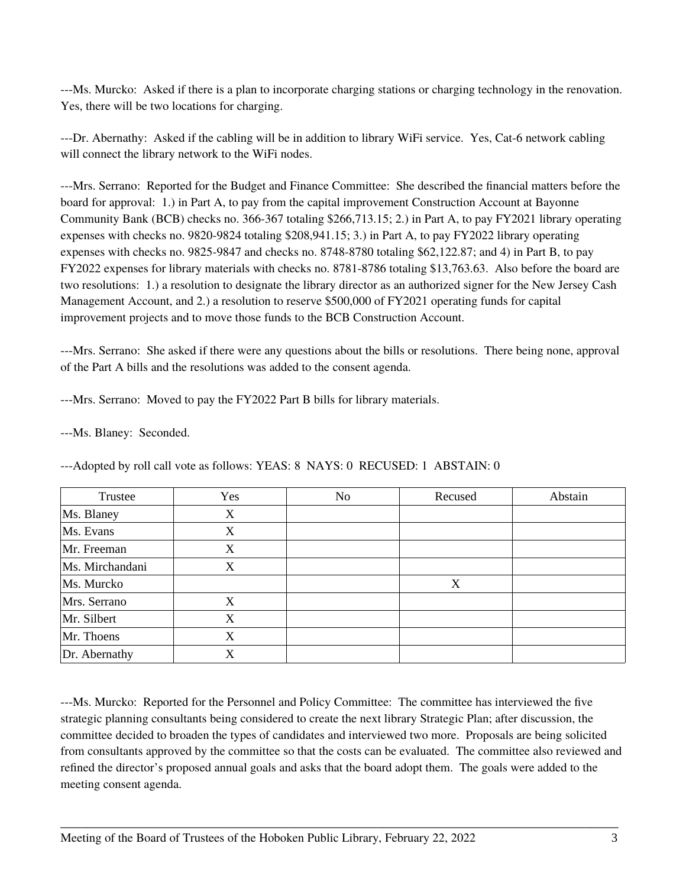---Ms. Murcko: Asked if there is a plan to incorporate charging stations or charging technology in the renovation. Yes, there will be two locations for charging.

---Dr. Abernathy: Asked if the cabling will be in addition to library WiFi service. Yes, Cat-6 network cabling will connect the library network to the WiFi nodes.

---Mrs. Serrano: Reported for the Budget and Finance Committee: She described the financial matters before the board for approval: 1.) in Part A, to pay from the capital improvement Construction Account at Bayonne Community Bank (BCB) checks no. 366-367 totaling \$266,713.15; 2.) in Part A, to pay FY2021 library operating expenses with checks no. 9820-9824 totaling \$208,941.15; 3.) in Part A, to pay FY2022 library operating expenses with checks no. 9825-9847 and checks no. 8748-8780 totaling \$62,122.87; and 4) in Part B, to pay FY2022 expenses for library materials with checks no. 8781-8786 totaling \$13,763.63. Also before the board are two resolutions: 1.) a resolution to designate the library director as an authorized signer for the New Jersey Cash Management Account, and 2.) a resolution to reserve \$500,000 of FY2021 operating funds for capital improvement projects and to move those funds to the BCB Construction Account.

---Mrs. Serrano: She asked if there were any questions about the bills or resolutions. There being none, approval of the Part A bills and the resolutions was added to the consent agenda.

---Mrs. Serrano: Moved to pay the FY2022 Part B bills for library materials.

---Ms. Blaney: Seconded.

| Trustee         | Yes | No | Recused | Abstain |
|-----------------|-----|----|---------|---------|
| Ms. Blaney      | X   |    |         |         |
| Ms. Evans       | X   |    |         |         |
| Mr. Freeman     | X   |    |         |         |
| Ms. Mirchandani | X   |    |         |         |
| Ms. Murcko      |     |    | X       |         |
| Mrs. Serrano    | X   |    |         |         |
| Mr. Silbert     | X   |    |         |         |
| Mr. Thoens      | X   |    |         |         |
| Dr. Abernathy   | X   |    |         |         |

---Adopted by roll call vote as follows: YEAS: 8 NAYS: 0 RECUSED: 1 ABSTAIN: 0

---Ms. Murcko: Reported for the Personnel and Policy Committee: The committee has interviewed the five strategic planning consultants being considered to create the next library Strategic Plan; after discussion, the committee decided to broaden the types of candidates and interviewed two more. Proposals are being solicited from consultants approved by the committee so that the costs can be evaluated. The committee also reviewed and refined the director's proposed annual goals and asks that the board adopt them. The goals were added to the meeting consent agenda.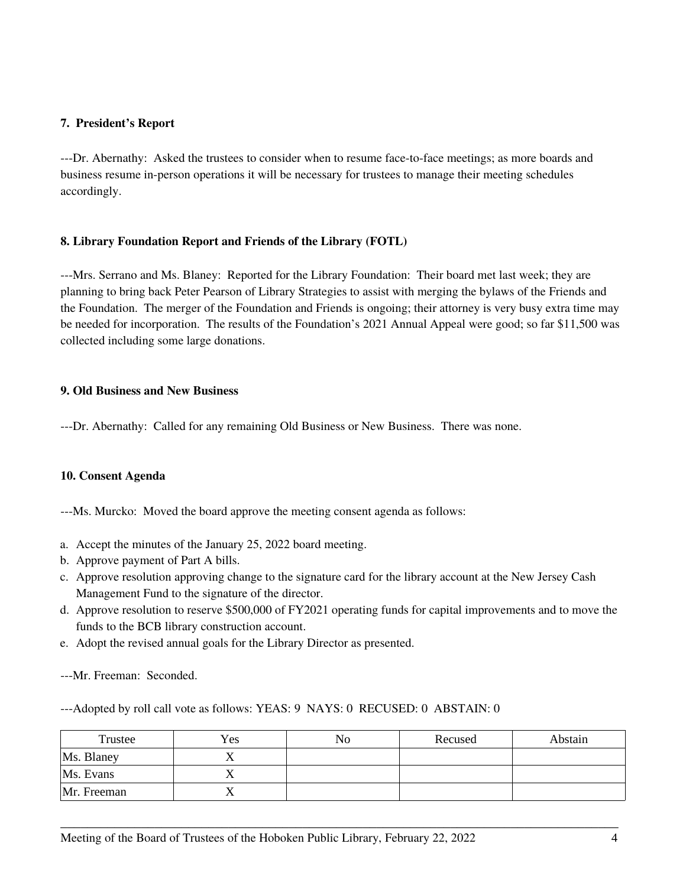## **7. President's Report**

---Dr. Abernathy: Asked the trustees to consider when to resume face-to-face meetings; as more boards and business resume in-person operations it will be necessary for trustees to manage their meeting schedules accordingly.

# **8. Library Foundation Report and Friends of the Library (FOTL)**

---Mrs. Serrano and Ms. Blaney: Reported for the Library Foundation: Their board met last week; they are planning to bring back Peter Pearson of Library Strategies to assist with merging the bylaws of the Friends and the Foundation. The merger of the Foundation and Friends is ongoing; their attorney is very busy extra time may be needed for incorporation. The results of the Foundation's 2021 Annual Appeal were good; so far \$11,500 was collected including some large donations.

## **9. Old Business and New Business**

---Dr. Abernathy: Called for any remaining Old Business or New Business. There was none.

#### **10. Consent Agenda**

---Ms. Murcko: Moved the board approve the meeting consent agenda as follows:

- a. Accept the minutes of the January 25, 2022 board meeting.
- b. Approve payment of Part A bills.
- c. Approve resolution approving change to the signature card for the library account at the New Jersey Cash Management Fund to the signature of the director.
- d. Approve resolution to reserve \$500,000 of FY2021 operating funds for capital improvements and to move the funds to the BCB library construction account.
- e. Adopt the revised annual goals for the Library Director as presented.

---Mr. Freeman: Seconded.

---Adopted by roll call vote as follows: YEAS: 9 NAYS: 0 RECUSED: 0 ABSTAIN: 0

| Trustee     | Yes | No | Recused | Abstain |
|-------------|-----|----|---------|---------|
| Ms. Blaney  | ∡ ב |    |         |         |
| Ms. Evans   |     |    |         |         |
| Mr. Freeman |     |    |         |         |